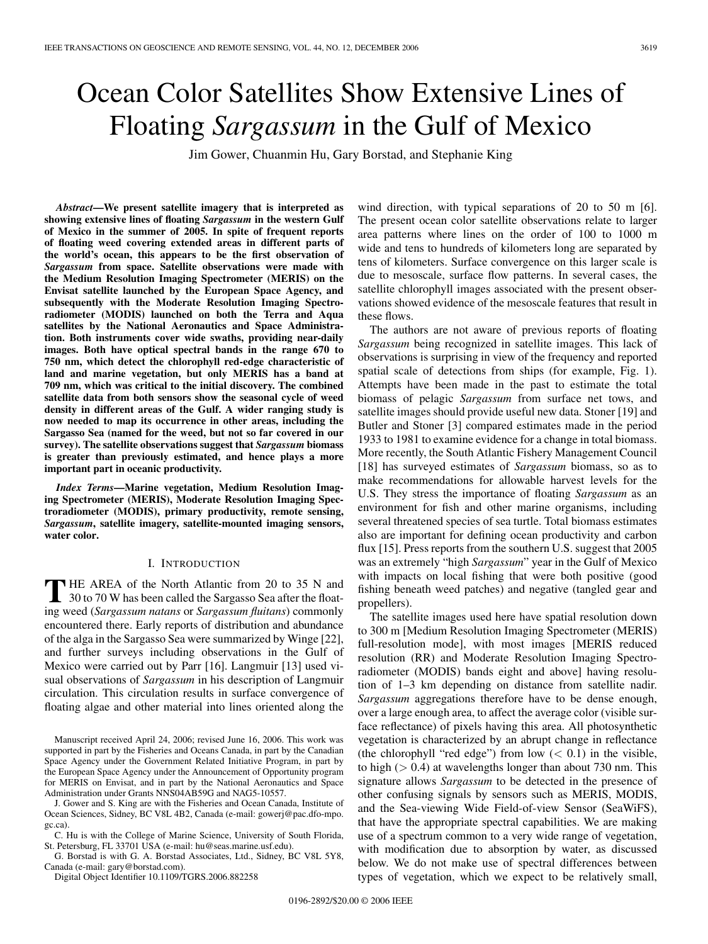# Ocean Color Satellites Show Extensive Lines of Floating *Sargassum* in the Gulf of Mexico

Jim Gower, Chuanmin Hu, Gary Borstad, and Stephanie King

*Abstract***—We present satellite imagery that is interpreted as showing extensive lines of floating** *Sargassum* **in the western Gulf of Mexico in the summer of 2005. In spite of frequent reports of floating weed covering extended areas in different parts of the world's ocean, this appears to be the first observation of** *Sargassum* **from space. Satellite observations were made with the Medium Resolution Imaging Spectrometer (MERIS) on the Envisat satellite launched by the European Space Agency, and subsequently with the Moderate Resolution Imaging Spectroradiometer (MODIS) launched on both the Terra and Aqua satellites by the National Aeronautics and Space Administration. Both instruments cover wide swaths, providing near-daily images. Both have optical spectral bands in the range 670 to 750 nm, which detect the chlorophyll red-edge characteristic of land and marine vegetation, but only MERIS has a band at 709 nm, which was critical to the initial discovery. The combined satellite data from both sensors show the seasonal cycle of weed density in different areas of the Gulf. A wider ranging study is now needed to map its occurrence in other areas, including the Sargasso Sea (named for the weed, but not so far covered in our survey). The satellite observations suggest that** *Sargassum* **biomass is greater than previously estimated, and hence plays a more important part in oceanic productivity.**

*Index Terms***—Marine vegetation, Medium Resolution Imaging Spectrometer (MERIS), Moderate Resolution Imaging Spectroradiometer (MODIS), primary productivity, remote sensing,** *Sargassum***, satellite imagery, satellite-mounted imaging sensors, water color.**

# I. INTRODUCTION

**T** HE AREA of the North Atlantic from 20 to 35 N and 30 to 70 W has been called the Sargasso Sea after the floating weed (*Sargassum natans* or *Sargassum fluitans*) commonly encountered there. Early reports of distribution and abundance of the alga in the Sargasso Sea were summarized by Winge [22], and further surveys including observations in the Gulf of Mexico were carried out by Parr [16]. Langmuir [13] used visual observations of *Sargassum* in his description of Langmuir circulation. This circulation results in surface convergence of floating algae and other material into lines oriented along the

Manuscript received April 24, 2006; revised June 16, 2006. This work was supported in part by the Fisheries and Oceans Canada, in part by the Canadian Space Agency under the Government Related Initiative Program, in part by the European Space Agency under the Announcement of Opportunity program for MERIS on Envisat, and in part by the National Aeronautics and Space Administration under Grants NNS04AB59G and NAG5-10557.

J. Gower and S. King are with the Fisheries and Ocean Canada, Institute of Ocean Sciences, Sidney, BC V8L 4B2, Canada (e-mail: gowerj@pac.dfo-mpo. gc.ca).

C. Hu is with the College of Marine Science, University of South Florida, St. Petersburg, FL 33701 USA (e-mail: hu@seas.marine.usf.edu).

G. Borstad is with G. A. Borstad Associates, Ltd., Sidney, BC V8L 5Y8, Canada (e-mail: gary@borstad.com).

Digital Object Identifier 10.1109/TGRS.2006.882258

wind direction, with typical separations of 20 to 50 m [6]. The present ocean color satellite observations relate to larger area patterns where lines on the order of 100 to 1000 m wide and tens to hundreds of kilometers long are separated by tens of kilometers. Surface convergence on this larger scale is due to mesoscale, surface flow patterns. In several cases, the satellite chlorophyll images associated with the present observations showed evidence of the mesoscale features that result in these flows.

The authors are not aware of previous reports of floating *Sargassum* being recognized in satellite images. This lack of observations is surprising in view of the frequency and reported spatial scale of detections from ships (for example, Fig. 1). Attempts have been made in the past to estimate the total biomass of pelagic *Sargassum* from surface net tows, and satellite images should provide useful new data. Stoner [19] and Butler and Stoner [3] compared estimates made in the period 1933 to 1981 to examine evidence for a change in total biomass. More recently, the South Atlantic Fishery Management Council [18] has surveyed estimates of *Sargassum* biomass, so as to make recommendations for allowable harvest levels for the U.S. They stress the importance of floating *Sargassum* as an environment for fish and other marine organisms, including several threatened species of sea turtle. Total biomass estimates also are important for defining ocean productivity and carbon flux [15]. Press reports from the southern U.S. suggest that 2005 was an extremely "high *Sargassum*" year in the Gulf of Mexico with impacts on local fishing that were both positive (good fishing beneath weed patches) and negative (tangled gear and propellers).

The satellite images used here have spatial resolution down to 300 m [Medium Resolution Imaging Spectrometer (MERIS) full-resolution mode], with most images [MERIS reduced resolution (RR) and Moderate Resolution Imaging Spectroradiometer (MODIS) bands eight and above] having resolution of 1–3 km depending on distance from satellite nadir. *Sargassum* aggregations therefore have to be dense enough, over a large enough area, to affect the average color (visible surface reflectance) of pixels having this area. All photosynthetic vegetation is characterized by an abrupt change in reflectance (the chlorophyll "red edge") from low  $(< 0.1)$  in the visible, to high  $(> 0.4)$  at wavelengths longer than about 730 nm. This signature allows *Sargassum* to be detected in the presence of other confusing signals by sensors such as MERIS, MODIS, and the Sea-viewing Wide Field-of-view Sensor (SeaWiFS), that have the appropriate spectral capabilities. We are making use of a spectrum common to a very wide range of vegetation, with modification due to absorption by water, as discussed below. We do not make use of spectral differences between types of vegetation, which we expect to be relatively small,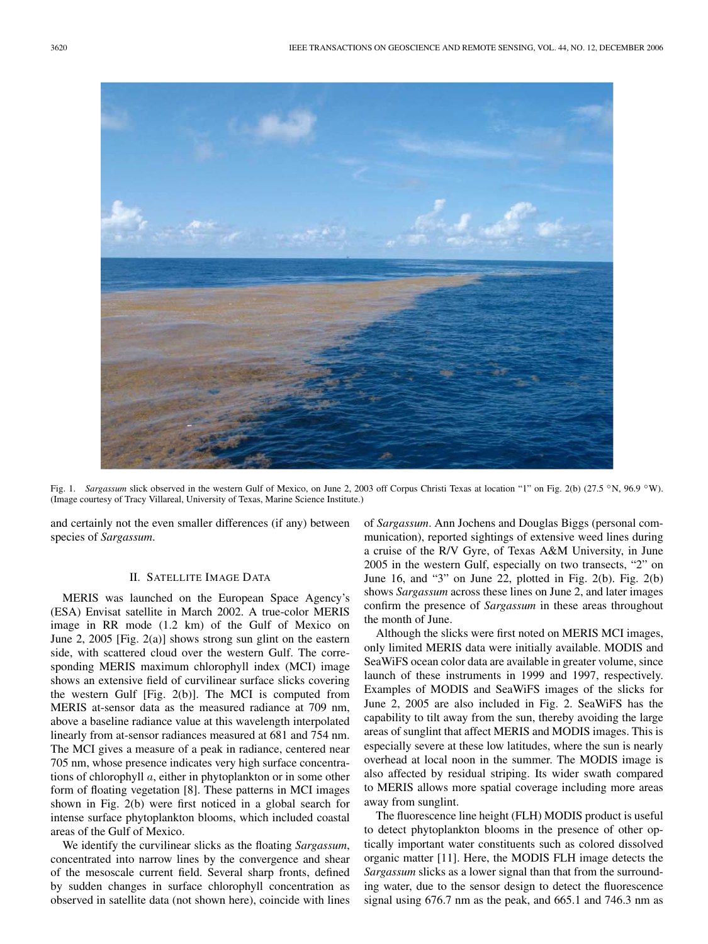

Fig. 1. *Sargassum* slick observed in the western Gulf of Mexico, on June 2, 2003 off Corpus Christi Texas at location "1" on Fig. 2(b) (27.5 °N, 96.9 °W). (Image courtesy of Tracy Villareal, University of Texas, Marine Science Institute.)

and certainly not the even smaller differences (if any) between species of *Sargassum*.

# II. SATELLITE IMAGE DATA

MERIS was launched on the European Space Agency's (ESA) Envisat satellite in March 2002. A true-color MERIS image in RR mode (1.2 km) of the Gulf of Mexico on June 2, 2005 [Fig. 2(a)] shows strong sun glint on the eastern side, with scattered cloud over the western Gulf. The corresponding MERIS maximum chlorophyll index (MCI) image shows an extensive field of curvilinear surface slicks covering the western Gulf [Fig. 2(b)]. The MCI is computed from MERIS at-sensor data as the measured radiance at 709 nm, above a baseline radiance value at this wavelength interpolated linearly from at-sensor radiances measured at 681 and 754 nm. The MCI gives a measure of a peak in radiance, centered near 705 nm, whose presence indicates very high surface concentrations of chlorophyll a, either in phytoplankton or in some other form of floating vegetation [8]. These patterns in MCI images shown in Fig. 2(b) were first noticed in a global search for intense surface phytoplankton blooms, which included coastal areas of the Gulf of Mexico.

We identify the curvilinear slicks as the floating *Sargassum*, concentrated into narrow lines by the convergence and shear of the mesoscale current field. Several sharp fronts, defined by sudden changes in surface chlorophyll concentration as observed in satellite data (not shown here), coincide with lines of *Sargassum*. Ann Jochens and Douglas Biggs (personal communication), reported sightings of extensive weed lines during a cruise of the R/V Gyre, of Texas A&M University, in June 2005 in the western Gulf, especially on two transects, "2" on June 16, and "3" on June 22, plotted in Fig. 2(b). Fig. 2(b) shows *Sargassum* across these lines on June 2, and later images confirm the presence of *Sargassum* in these areas throughout the month of June.

Although the slicks were first noted on MERIS MCI images, only limited MERIS data were initially available. MODIS and SeaWiFS ocean color data are available in greater volume, since launch of these instruments in 1999 and 1997, respectively. Examples of MODIS and SeaWiFS images of the slicks for June 2, 2005 are also included in Fig. 2. SeaWiFS has the capability to tilt away from the sun, thereby avoiding the large areas of sunglint that affect MERIS and MODIS images. This is especially severe at these low latitudes, where the sun is nearly overhead at local noon in the summer. The MODIS image is also affected by residual striping. Its wider swath compared to MERIS allows more spatial coverage including more areas away from sunglint.

The fluorescence line height (FLH) MODIS product is useful to detect phytoplankton blooms in the presence of other optically important water constituents such as colored dissolved organic matter [11]. Here, the MODIS FLH image detects the *Sargassum* slicks as a lower signal than that from the surrounding water, due to the sensor design to detect the fluorescence signal using 676.7 nm as the peak, and 665.1 and 746.3 nm as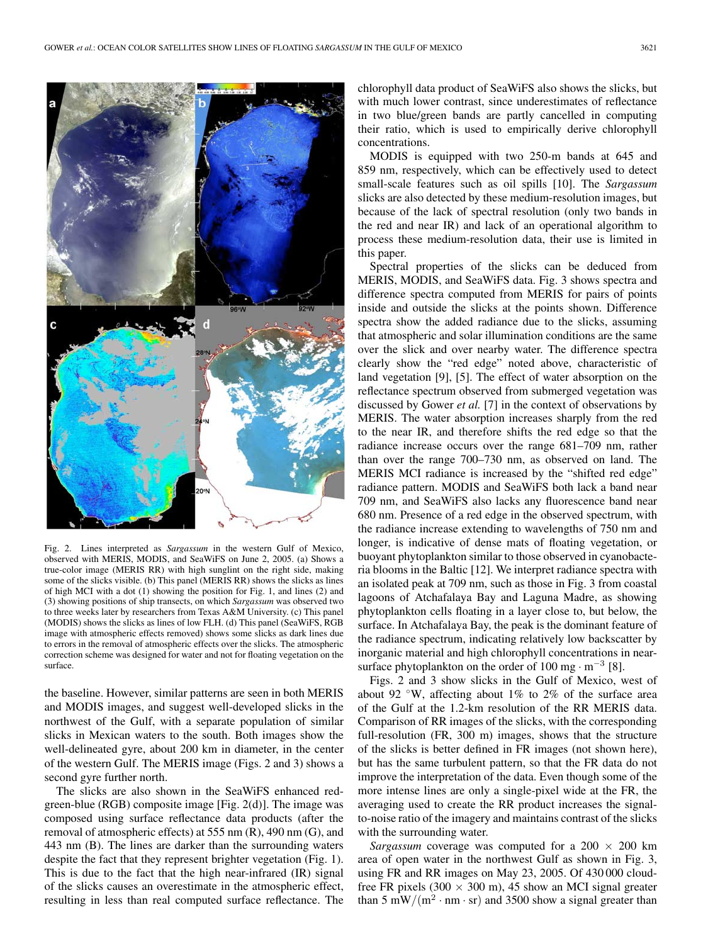

Fig. 2. Lines interpreted as *Sargassum* in the western Gulf of Mexico, observed with MERIS, MODIS, and SeaWiFS on June 2, 2005. (a) Shows a true-color image (MERIS RR) with high sunglint on the right side, making some of the slicks visible. (b) This panel (MERIS RR) shows the slicks as lines of high MCI with a dot (1) showing the position for Fig. 1, and lines (2) and (3) showing positions of ship transects, on which *Sargassum* was observed two to three weeks later by researchers from Texas A&M University. (c) This panel (MODIS) shows the slicks as lines of low FLH. (d) This panel (SeaWiFS, RGB image with atmospheric effects removed) shows some slicks as dark lines due to errors in the removal of atmospheric effects over the slicks. The atmospheric correction scheme was designed for water and not for floating vegetation on the surface.

the baseline. However, similar patterns are seen in both MERIS and MODIS images, and suggest well-developed slicks in the northwest of the Gulf, with a separate population of similar slicks in Mexican waters to the south. Both images show the well-delineated gyre, about 200 km in diameter, in the center of the western Gulf. The MERIS image (Figs. 2 and 3) shows a second gyre further north.

The slicks are also shown in the SeaWiFS enhanced redgreen-blue (RGB) composite image [Fig. 2(d)]. The image was composed using surface reflectance data products (after the removal of atmospheric effects) at 555 nm (R), 490 nm (G), and 443 nm (B). The lines are darker than the surrounding waters despite the fact that they represent brighter vegetation (Fig. 1). This is due to the fact that the high near-infrared (IR) signal of the slicks causes an overestimate in the atmospheric effect, resulting in less than real computed surface reflectance. The chlorophyll data product of SeaWiFS also shows the slicks, but with much lower contrast, since underestimates of reflectance in two blue/green bands are partly cancelled in computing their ratio, which is used to empirically derive chlorophyll concentrations.

MODIS is equipped with two 250-m bands at 645 and 859 nm, respectively, which can be effectively used to detect small-scale features such as oil spills [10]. The *Sargassum* slicks are also detected by these medium-resolution images, but because of the lack of spectral resolution (only two bands in the red and near IR) and lack of an operational algorithm to process these medium-resolution data, their use is limited in this paper.

Spectral properties of the slicks can be deduced from MERIS, MODIS, and SeaWiFS data. Fig. 3 shows spectra and difference spectra computed from MERIS for pairs of points inside and outside the slicks at the points shown. Difference spectra show the added radiance due to the slicks, assuming that atmospheric and solar illumination conditions are the same over the slick and over nearby water. The difference spectra clearly show the "red edge" noted above, characteristic of land vegetation [9], [5]. The effect of water absorption on the reflectance spectrum observed from submerged vegetation was discussed by Gower *et al.* [7] in the context of observations by MERIS. The water absorption increases sharply from the red to the near IR, and therefore shifts the red edge so that the radiance increase occurs over the range 681–709 nm, rather than over the range 700–730 nm, as observed on land. The MERIS MCI radiance is increased by the "shifted red edge" radiance pattern. MODIS and SeaWiFS both lack a band near 709 nm, and SeaWiFS also lacks any fluorescence band near 680 nm. Presence of a red edge in the observed spectrum, with the radiance increase extending to wavelengths of 750 nm and longer, is indicative of dense mats of floating vegetation, or buoyant phytoplankton similar to those observed in cyanobacteria blooms in the Baltic [12]. We interpret radiance spectra with an isolated peak at 709 nm, such as those in Fig. 3 from coastal lagoons of Atchafalaya Bay and Laguna Madre, as showing phytoplankton cells floating in a layer close to, but below, the surface. In Atchafalaya Bay, the peak is the dominant feature of the radiance spectrum, indicating relatively low backscatter by inorganic material and high chlorophyll concentrations in nearsurface phytoplankton on the order of 100 mg  $\cdot$  m<sup>-3</sup> [8].

Figs. 2 and 3 show slicks in the Gulf of Mexico, west of about 92  $\degree$ W, affecting about 1% to 2% of the surface area of the Gulf at the 1.2-km resolution of the RR MERIS data. Comparison of RR images of the slicks, with the corresponding full-resolution (FR, 300 m) images, shows that the structure of the slicks is better defined in FR images (not shown here), but has the same turbulent pattern, so that the FR data do not improve the interpretation of the data. Even though some of the more intense lines are only a single-pixel wide at the FR, the averaging used to create the RR product increases the signalto-noise ratio of the imagery and maintains contrast of the slicks with the surrounding water.

*Sargassum* coverage was computed for a  $200 \times 200$  km area of open water in the northwest Gulf as shown in Fig. 3, using FR and RR images on May 23, 2005. Of 430 000 cloudfree FR pixels  $(300 \times 300 \text{ m})$ , 45 show an MCI signal greater than 5 mW/( $m^2 \cdot nm \cdot sr$ ) and 3500 show a signal greater than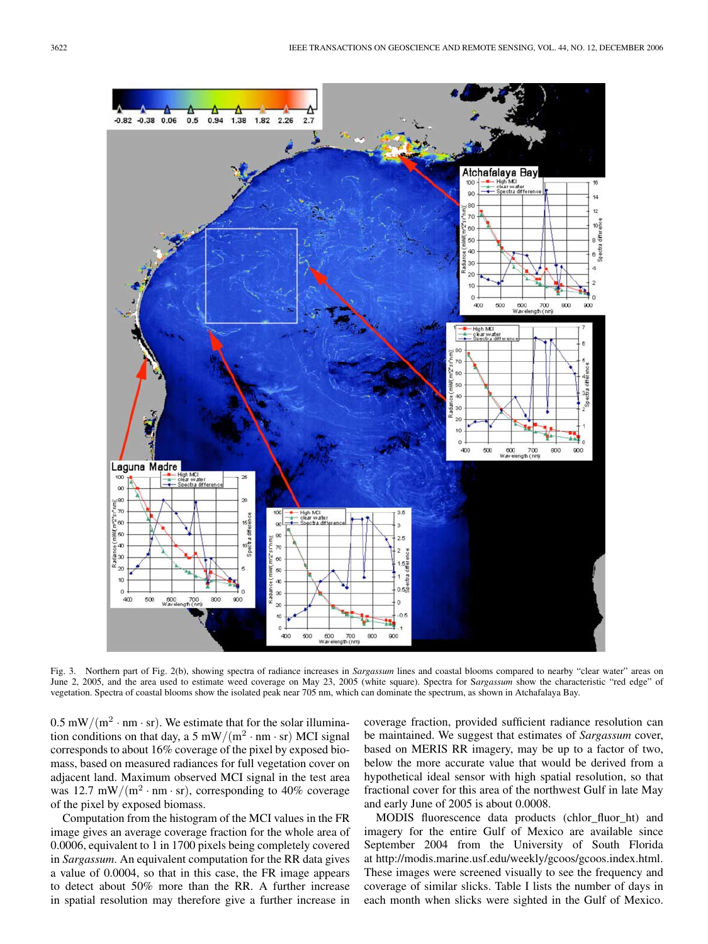

Fig. 3. Northern part of Fig. 2(b), showing spectra of radiance increases in *Sargassum* lines and coastal blooms compared to nearby "clear water" areas on June 2, 2005, and the area used to estimate weed coverage on May 23, 2005 (white square). Spectra for S*argassum* show the characteristic "red edge" of vegetation. Spectra of coastal blooms show the isolated peak near 705 nm, which can dominate the spectrum, as shown in Atchafalaya Bay.

 $0.5 \text{ mW}/(\text{m}^2 \cdot \text{nm} \cdot \text{sr})$ . We estimate that for the solar illumination conditions on that day, a 5 mW/( $m^2 \cdot nm \cdot sr$ ) MCI signal corresponds to about 16% coverage of the pixel by exposed biomass, based on measured radiances for full vegetation cover on adjacent land. Maximum observed MCI signal in the test area was 12.7 mW/( $m^2 \cdot nm \cdot sr$ ), corresponding to 40% coverage of the pixel by exposed biomass.

Computation from the histogram of the MCI values in the FR image gives an average coverage fraction for the whole area of 0.0006, equivalent to 1 in 1700 pixels being completely covered in *Sargassum*. An equivalent computation for the RR data gives a value of 0.0004, so that in this case, the FR image appears to detect about 50% more than the RR. A further increase in spatial resolution may therefore give a further increase in

coverage fraction, provided sufficient radiance resolution can be maintained. We suggest that estimates of *Sargassum* cover, based on MERIS RR imagery, may be up to a factor of two, below the more accurate value that would be derived from a hypothetical ideal sensor with high spatial resolution, so that fractional cover for this area of the northwest Gulf in late May and early June of 2005 is about 0.0008.

MODIS fluorescence data products (chlor\_fluor\_ht) and imagery for the entire Gulf of Mexico are available since September 2004 from the University of South Florida at http://modis.marine.usf.edu/weekly/gcoos/gcoos.index.html. These images were screened visually to see the frequency and coverage of similar slicks. Table I lists the number of days in each month when slicks were sighted in the Gulf of Mexico.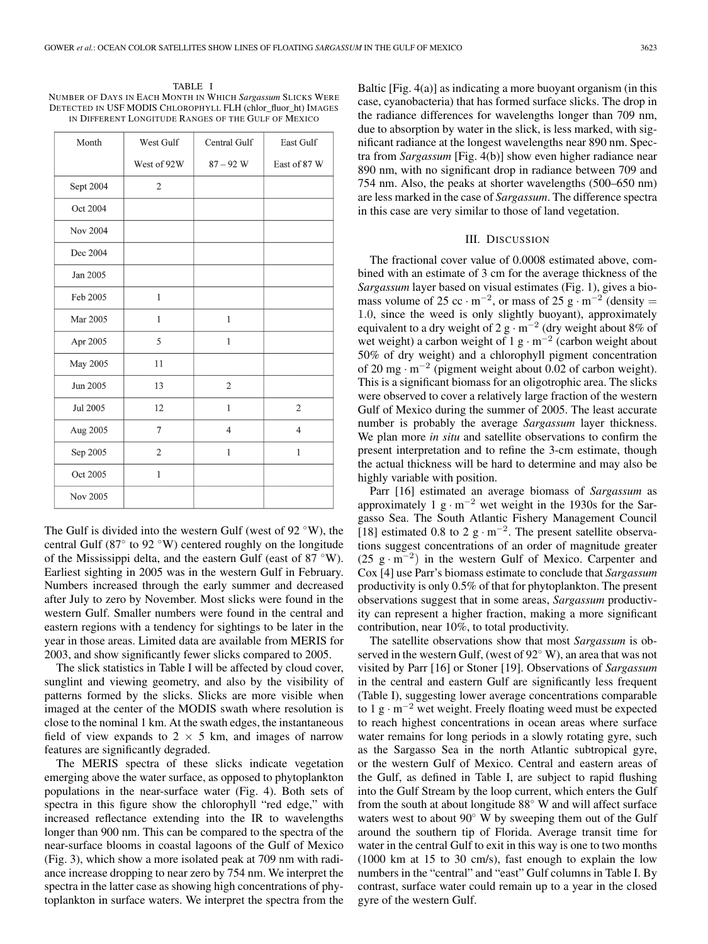TABLE I NUMBER OF DAYS IN EACH MONTH IN WHICH *Sargassum* SLICKS WERE DETECTED IN USF MODIS CHLOROPHYLL FLH (chlor\_fluor\_ht) IMAGES IN DIFFERENT LONGITUDE RANGES OF THE GULF OF MEXICO

| Month     | West Gulf      | Central Gulf   | East Gulf      |
|-----------|----------------|----------------|----------------|
|           | West of 92W    | $87 - 92$ W    | East of 87 W   |
| Sept 2004 | $\overline{2}$ |                |                |
| Oct 2004  |                |                |                |
| Nov 2004  |                |                |                |
| Dec 2004  |                |                |                |
| Jan 2005  |                |                |                |
| Feb 2005  | $\mathbf{1}$   |                |                |
| Mar 2005  | $\mathbf{1}$   | $\mathbf{1}$   |                |
| Apr 2005  | 5              | $\mathbf{1}$   |                |
| May 2005  | 11             |                |                |
| Jun 2005  | 13             | $\overline{2}$ |                |
| Jul 2005  | 12             | $\mathbf{1}$   | $\overline{2}$ |
| Aug 2005  | 7              | $\overline{4}$ | $\overline{4}$ |
| Sep 2005  | $\overline{2}$ | $\mathbf{1}$   | $\mathbf{1}$   |
| Oct 2005  | $\mathbf{1}$   |                |                |
| Nov 2005  |                |                |                |

The Gulf is divided into the western Gulf (west of  $92 \degree W$ ), the central Gulf (87◦ to 92 ◦W) centered roughly on the longitude of the Mississippi delta, and the eastern Gulf (east of  $87 \degree W$ ). Earliest sighting in 2005 was in the western Gulf in February. Numbers increased through the early summer and decreased after July to zero by November. Most slicks were found in the western Gulf. Smaller numbers were found in the central and eastern regions with a tendency for sightings to be later in the year in those areas. Limited data are available from MERIS for 2003, and show significantly fewer slicks compared to 2005.

The slick statistics in Table I will be affected by cloud cover, sunglint and viewing geometry, and also by the visibility of patterns formed by the slicks. Slicks are more visible when imaged at the center of the MODIS swath where resolution is close to the nominal 1 km. At the swath edges, the instantaneous field of view expands to  $2 \times 5$  km, and images of narrow features are significantly degraded.

The MERIS spectra of these slicks indicate vegetation emerging above the water surface, as opposed to phytoplankton populations in the near-surface water (Fig. 4). Both sets of spectra in this figure show the chlorophyll "red edge," with increased reflectance extending into the IR to wavelengths longer than 900 nm. This can be compared to the spectra of the near-surface blooms in coastal lagoons of the Gulf of Mexico (Fig. 3), which show a more isolated peak at 709 nm with radiance increase dropping to near zero by 754 nm. We interpret the spectra in the latter case as showing high concentrations of phytoplankton in surface waters. We interpret the spectra from the

Baltic [Fig. 4(a)] as indicating a more buoyant organism (in this case, cyanobacteria) that has formed surface slicks. The drop in the radiance differences for wavelengths longer than 709 nm, due to absorption by water in the slick, is less marked, with significant radiance at the longest wavelengths near 890 nm. Spectra from *Sargassum* [Fig. 4(b)] show even higher radiance near 890 nm, with no significant drop in radiance between 709 and 754 nm. Also, the peaks at shorter wavelengths (500–650 nm) are less marked in the case of *Sargassum*. The difference spectra in this case are very similar to those of land vegetation.

## III. DISCUSSION

The fractional cover value of 0.0008 estimated above, combined with an estimate of 3 cm for the average thickness of the *Sargassum* layer based on visual estimates (Fig. 1), gives a biomass volume of 25 cc · m<sup>-2</sup>, or mass of 25 g · m<sup>-2</sup> (density = 1.0, since the weed is only slightly buoyant), approximately equivalent to a dry weight of 2 g  $\cdot$  m<sup>-2</sup> (dry weight about 8% of wet weight) a carbon weight of 1 g · m<sup>-2</sup> (carbon weight about 50% of dry weight) and a chlorophyll pigment concentration of 20 mg · <sup>m</sup>−<sup>2</sup> (pigment weight about 0.02 of carbon weight). This is a significant biomass for an oligotrophic area. The slicks were observed to cover a relatively large fraction of the western Gulf of Mexico during the summer of 2005. The least accurate number is probably the average *Sargassum* layer thickness. We plan more *in situ* and satellite observations to confirm the present interpretation and to refine the 3-cm estimate, though the actual thickness will be hard to determine and may also be highly variable with position.

Parr [16] estimated an average biomass of *Sargassum* as approximately 1 g · <sup>m</sup>−<sup>2</sup> wet weight in the 1930s for the Sargasso Sea. The South Atlantic Fishery Management Council [18] estimated 0.8 to 2 g · m<sup>-2</sup>. The present satellite observations suggest concentrations of an order of magnitude greater (25 g · m<sup>-2</sup>) in the western Gulf of Mexico. Carpenter and Cox [4] use Parr's biomass estimate to conclude that *Sargassum* productivity is only 0.5% of that for phytoplankton. The present observations suggest that in some areas, *Sargassum* productivity can represent a higher fraction, making a more significant contribution, near 10%, to total productivity.

The satellite observations show that most *Sargassum* is observed in the western Gulf, (west of 92◦ W), an area that was not visited by Parr [16] or Stoner [19]. Observations of *Sargassum* in the central and eastern Gulf are significantly less frequent (Table I), suggesting lower average concentrations comparable to 1 g · <sup>m</sup>−<sup>2</sup> wet weight. Freely floating weed must be expected to reach highest concentrations in ocean areas where surface water remains for long periods in a slowly rotating gyre, such as the Sargasso Sea in the north Atlantic subtropical gyre, or the western Gulf of Mexico. Central and eastern areas of the Gulf, as defined in Table I, are subject to rapid flushing into the Gulf Stream by the loop current, which enters the Gulf from the south at about longitude 88◦ W and will affect surface waters west to about 90◦ W by sweeping them out of the Gulf around the southern tip of Florida. Average transit time for water in the central Gulf to exit in this way is one to two months (1000 km at 15 to 30 cm/s), fast enough to explain the low numbers in the "central" and "east" Gulf columns in Table I. By contrast, surface water could remain up to a year in the closed gyre of the western Gulf.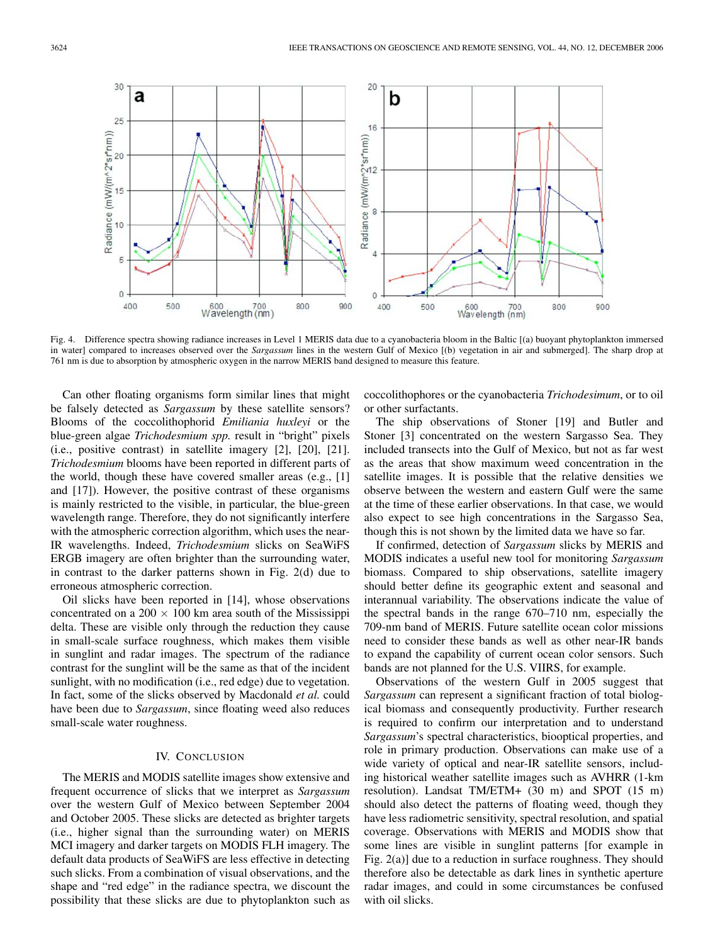

Fig. 4. Difference spectra showing radiance increases in Level 1 MERIS data due to a cyanobacteria bloom in the Baltic [(a) buoyant phytoplankton immersed in water] compared to increases observed over the *Sargassum* lines in the western Gulf of Mexico [(b) vegetation in air and submerged]. The sharp drop at 761 nm is due to absorption by atmospheric oxygen in the narrow MERIS band designed to measure this feature.

Can other floating organisms form similar lines that might be falsely detected as *Sargassum* by these satellite sensors? Blooms of the coccolithophorid *Emiliania huxleyi* or the blue-green algae *Trichodesmium spp.* result in "bright" pixels (i.e., positive contrast) in satellite imagery [2], [20], [21]. *Trichodesmium* blooms have been reported in different parts of the world, though these have covered smaller areas (e.g., [1] and [17]). However, the positive contrast of these organisms is mainly restricted to the visible, in particular, the blue-green wavelength range. Therefore, they do not significantly interfere with the atmospheric correction algorithm, which uses the near-IR wavelengths. Indeed, *Trichodesmium* slicks on SeaWiFS ERGB imagery are often brighter than the surrounding water, in contrast to the darker patterns shown in Fig. 2(d) due to erroneous atmospheric correction.

Oil slicks have been reported in [14], whose observations concentrated on a  $200 \times 100$  km area south of the Mississippi delta. These are visible only through the reduction they cause in small-scale surface roughness, which makes them visible in sunglint and radar images. The spectrum of the radiance contrast for the sunglint will be the same as that of the incident sunlight, with no modification (i.e., red edge) due to vegetation. In fact, some of the slicks observed by Macdonald *et al.* could have been due to *Sargassum*, since floating weed also reduces small-scale water roughness.

### IV. CONCLUSION

The MERIS and MODIS satellite images show extensive and frequent occurrence of slicks that we interpret as *Sargassum* over the western Gulf of Mexico between September 2004 and October 2005. These slicks are detected as brighter targets (i.e., higher signal than the surrounding water) on MERIS MCI imagery and darker targets on MODIS FLH imagery. The default data products of SeaWiFS are less effective in detecting such slicks. From a combination of visual observations, and the shape and "red edge" in the radiance spectra, we discount the possibility that these slicks are due to phytoplankton such as coccolithophores or the cyanobacteria *Trichodesimum*, or to oil or other surfactants.

The ship observations of Stoner [19] and Butler and Stoner [3] concentrated on the western Sargasso Sea. They included transects into the Gulf of Mexico, but not as far west as the areas that show maximum weed concentration in the satellite images. It is possible that the relative densities we observe between the western and eastern Gulf were the same at the time of these earlier observations. In that case, we would also expect to see high concentrations in the Sargasso Sea, though this is not shown by the limited data we have so far.

If confirmed, detection of *Sargassum* slicks by MERIS and MODIS indicates a useful new tool for monitoring *Sargassum* biomass. Compared to ship observations, satellite imagery should better define its geographic extent and seasonal and interannual variability. The observations indicate the value of the spectral bands in the range 670–710 nm, especially the 709-nm band of MERIS. Future satellite ocean color missions need to consider these bands as well as other near-IR bands to expand the capability of current ocean color sensors. Such bands are not planned for the U.S. VIIRS, for example.

Observations of the western Gulf in 2005 suggest that *Sargassum* can represent a significant fraction of total biological biomass and consequently productivity. Further research is required to confirm our interpretation and to understand *Sargassum*'s spectral characteristics, biooptical properties, and role in primary production. Observations can make use of a wide variety of optical and near-IR satellite sensors, including historical weather satellite images such as AVHRR (1-km resolution). Landsat TM/ETM+ (30 m) and SPOT (15 m) should also detect the patterns of floating weed, though they have less radiometric sensitivity, spectral resolution, and spatial coverage. Observations with MERIS and MODIS show that some lines are visible in sunglint patterns [for example in Fig. 2(a)] due to a reduction in surface roughness. They should therefore also be detectable as dark lines in synthetic aperture radar images, and could in some circumstances be confused with oil slicks.